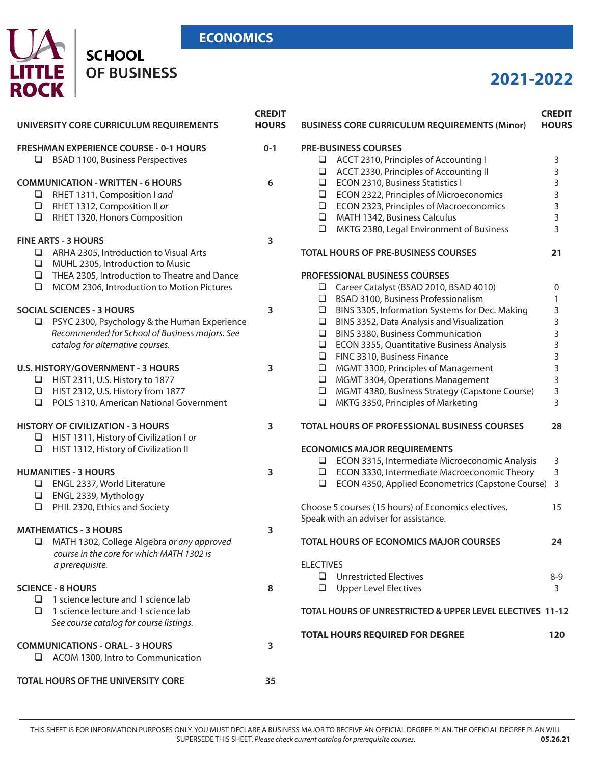### **ECONOMICS**

## UA **SCHOOL LITTLE**<br>ROCK OF BUSINESS

# **2021-2022**

| UNIVERSITY CORE CURRICULUM REQUIREMENTS                                                                                                                                       | <b>CREDIT</b><br><b>HOURS</b> | <b>BUSINESS CORE CURRICULUM REQUIREMENTS (Minor)</b>                                                                                                                                                                                   | <b>CREDIT</b><br><b>HOURS</b> |
|-------------------------------------------------------------------------------------------------------------------------------------------------------------------------------|-------------------------------|----------------------------------------------------------------------------------------------------------------------------------------------------------------------------------------------------------------------------------------|-------------------------------|
| <b>FRESHMAN EXPERIENCE COURSE - 0-1 HOURS</b><br><b>BSAD 1100, Business Perspectives</b><br>$\Box$                                                                            | $0 - 1$                       | <b>PRE-BUSINESS COURSES</b><br>ACCT 2310, Principles of Accounting I<br>$\Box$                                                                                                                                                         | 3                             |
| <b>COMMUNICATION - WRITTEN - 6 HOURS</b>                                                                                                                                      | 6                             | ACCT 2330, Principles of Accounting II<br>⊔<br>ECON 2310, Business Statistics I<br>$\Box$                                                                                                                                              | 3<br>3                        |
| RHET 1311, Composition I and<br>RHET 1312, Composition II or<br>$\Box$<br>$\Box$                                                                                              |                               | ECON 2322, Principles of Microeconomics<br>$\Box$<br>ECON 2323, Principles of Macroeconomics<br>$\Box$<br>MATH 1342, Business Calculus<br>$\Box$                                                                                       | 3<br>$\mathsf 3$<br>3         |
| RHET 1320, Honors Composition<br><b>FINE ARTS - 3 HOURS</b>                                                                                                                   | 3                             | MKTG 2380, Legal Environment of Business<br>$\Box$                                                                                                                                                                                     | 3                             |
| $\Box$ ARHA 2305, Introduction to Visual Arts<br>MUHL 2305, Introduction to Music<br>$\Box$                                                                                   |                               | <b>TOTAL HOURS OF PRE-BUSINESS COURSES</b>                                                                                                                                                                                             | 21                            |
| $\Box$ THEA 2305, Introduction to Theatre and Dance<br>MCOM 2306, Introduction to Motion Pictures<br>$\Box$                                                                   |                               | <b>PROFESSIONAL BUSINESS COURSES</b><br>Career Catalyst (BSAD 2010, BSAD 4010)<br>$\Box$<br>BSAD 3100, Business Professionalism<br>⊔                                                                                                   | 0<br>1                        |
| <b>SOCIAL SCIENCES - 3 HOURS</b><br>$\Box$ PSYC 2300, Psychology & the Human Experience<br>Recommended for School of Business majors. See<br>catalog for alternative courses. | 3                             | BINS 3305, Information Systems for Dec. Making<br>□<br>BINS 3352, Data Analysis and Visualization<br>$\Box$<br><b>BINS 3380, Business Communication</b><br>□<br>ECON 3355, Quantitative Business Analysis<br>□                         | 3<br>3<br>3<br>3              |
| <b>U.S. HISTORY/GOVERNMENT - 3 HOURS</b><br>$\Box$ HIST 2311, U.S. History to 1877<br>HIST 2312, U.S. History from 1877<br>POLS 1310, American National Government<br>$\Box$  | 3                             | FINC 3310, Business Finance<br>$\Box$<br>MGMT 3300, Principles of Management<br>□<br>MGMT 3304, Operations Management<br>$\Box$<br>MGMT 4380, Business Strategy (Capstone Course)<br>$\Box$<br>MKTG 3350, Principles of Marketing<br>⊔ | 3<br>3<br>3<br>3<br>3         |
| <b>HISTORY OF CIVILIZATION - 3 HOURS</b><br>$\Box$ HIST 1311, History of Civilization I or                                                                                    | 3                             | <b>TOTAL HOURS OF PROFESSIONAL BUSINESS COURSES</b>                                                                                                                                                                                    | 28                            |
| HIST 1312, History of Civilization II<br>$\Box$                                                                                                                               |                               | <b>ECONOMICS MAJOR REQUIREMENTS</b><br>$\Box$ ECON 3315, Intermediate Microeconomic Analysis                                                                                                                                           | 3                             |
| <b>HUMANITIES - 3 HOURS</b><br>ENGL 2337, World Literature<br>ENGL 2339, Mythology                                                                                            | 3                             | $\Box$ ECON 3330, Intermediate Macroeconomic Theory<br>ECON 4350, Applied Econometrics (Capstone Course)<br>⊔                                                                                                                          | 3<br>3                        |
| PHIL 2320, Ethics and Society<br>$\Box$                                                                                                                                       |                               | Choose 5 courses (15 hours) of Economics electives.<br>Speak with an adviser for assistance.                                                                                                                                           | 15                            |
| <b>MATHEMATICS - 3 HOURS</b><br>MATH 1302, College Algebra or any approved<br>⊔<br>course in the core for which MATH 1302 is                                                  | 3                             | TOTAL HOURS OF ECONOMICS MAJOR COURSES                                                                                                                                                                                                 | 24                            |
| a prerequisite.                                                                                                                                                               |                               | <b>ELECTIVES</b><br>$\Box$ Unrestricted Electives                                                                                                                                                                                      | $8 - 9$                       |
| <b>SCIENCE - 8 HOURS</b><br>$\Box$ 1 science lecture and 1 science lab<br>1 science lecture and 1 science lab<br>□                                                            | 8                             | <b>Upper Level Electives</b><br>❏<br>TOTAL HOURS OF UNRESTRICTED & UPPER LEVEL ELECTIVES 11-12                                                                                                                                         | 3                             |
| See course catalog for course listings.                                                                                                                                       |                               | <b>TOTAL HOURS REQUIRED FOR DEGREE</b>                                                                                                                                                                                                 | 120                           |
| <b>COMMUNICATIONS - ORAL - 3 HOURS</b><br>$\Box$ ACOM 1300, Intro to Communication                                                                                            | 3                             |                                                                                                                                                                                                                                        |                               |
| TOTAL HOURS OF THE UNIVERSITY CORE                                                                                                                                            | 35                            |                                                                                                                                                                                                                                        |                               |